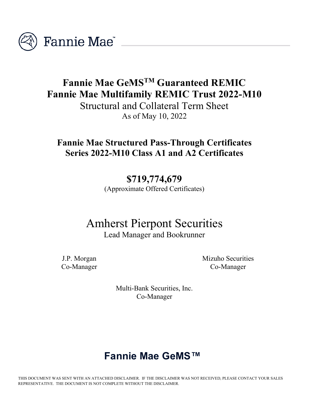

## **Fannie Mae GeMSTM Guaranteed REMIC Fannie Mae Multifamily REMIC Trust 2022-M10**

Structural and Collateral Term Sheet As of May 10, 2022

### **Fannie Mae Structured Pass-Through Certificates Series 2022-M10 Class A1 and A2 Certificates**

**\$719,774,679** (Approximate Offered Certificates)

# Amherst Pierpont Securities

Lead Manager and Bookrunner

J.P. Morgan Co-Manager Mizuho Securities Co-Manager

Multi-Bank Securities, Inc. Co-Manager

### **Fannie Mae GeMS™**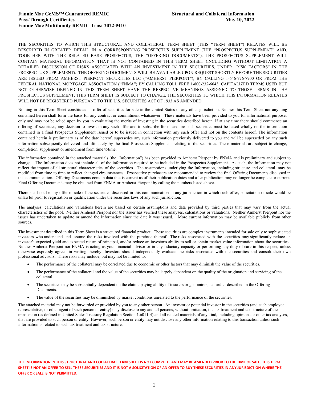THE SECURITIES TO WHICH THIS STRUCTURAL AND COLLATERAL TERM SHEET (THIS "TERM SHEET") RELATES WILL BE DESCRIBED IN GREATER DETAIL IN A CORRESPONDING PROSPECTUS SUPPLEMENT (THE "PROSPECTUS SUPPLEMENT" AND, TOGETHER WITH THE RELATED BASE PROSPECTUS, THE "OFFERING DOCUMENTS"). THE PROSPECTUS SUPPLEMENT WILL CONTAIN MATERIAL INFORMATION THAT IS NOT CONTAINED IN THIS TERM SHEET (INCLUDING WITHOUT LIMITATION A DETAILED DISCUSSION OF RISKS ASSOCIATED WITH AN INVESTMENT IN THE SECURITIES, UNDER "RISK FACTORS" IN THE PROSPECTUS SUPPLEMENT). THE OFFERING DOCUMENTS WILL BE AVAILABLE UPON REQUEST SHORTLY BEFORE THE SECURITIES ARE ISSUED FROM AMHERST PIERPONT SECURITIES LLC ("AMHERST PIERPONT"), BY CALLING 1-646-776-7700 OR FROM THE FEDERAL NATIONAL MORTGAGE ASSOCIATION ("FNMA") BY CALLING TOLL FREE 1-800-232-6643. CAPITALIZED TERMS USED BUT NOT OTHERWISE DEFINED IN THIS TERM SHEET HAVE THE RESPECTIVE MEANINGS ASSIGNED TO THOSE TERMS IN THE PROSPECTUS SUPPLEMENT. THIS TERM SHEET IS SUBJECT TO CHANGE. THE SECURITIES TO WHICH THIS INFORMATION RELATES WILL NOT BE REGISTERED PURSUANT TO THE U.S. SECURITIES ACT OF 1933 AS AMENDED.

Nothing in this Term Sheet constitutes an offer of securities for sale in the United States or any other jurisdiction. Neither this Term Sheet nor anything contained herein shall form the basis for any contract or commitment whatsoever. These materials have been provided to you for informational purposes only and may not be relied upon by you in evaluating the merits of investing in the securities described herein. If at any time there should commence an offering of securities, any decision to invest in any such offer and to subscribe for or acquire such securities must be based wholly on the information contained in a final Prospectus Supplement issued or to be issued in connection with any such offer and not on the contents hereof. The information contained herein is preliminary as of the date hereof, supersedes any such information previously delivered to you and will be superseded by any such information subsequently delivered and ultimately by the final Prospectus Supplement relating to the securities. These materials are subject to change, completion, supplement or amendment from time totime.

The information contained in the attached materials (the "Information") has been provided to Amherst Pierpont by FNMA and is preliminary and subject to change. The Information does not include all of the information required to be included in the Prospectus Supplement. As such, the Information may not reflect the impact of all structural characteristics of the securities. The assumptions underlying the Information, including structure and collateral, may be modified from time to time to reflect changed circumstances. Prospective purchasers are recommended to review the final Offering Documents discussed in this communication. Offering Documents contain data that is current as of their publication dates and after publication may no longer be complete or current. Final Offering Documents may be obtained from FNMA or Amherst Pierpont by calling the numbers listed above.

There shall not be any offer or sale of the securities discussed in this communication in any jurisdiction in which such offer, solicitation or sale would be unlawful prior to registration or qualification under the securities laws of any such jurisdiction.

The analyses, calculations and valuations herein are based on certain assumptions and data provided by third parties that may vary from the actual characteristics of the pool. Neither Amherst Pierpont nor the issuer has verified these analyses, calculations or valuations. Neither Amherst Pierpont nor the issuer has undertaken to update or amend the Information since the date it was issued. More current information may be available publicly from other sources.

The investment described in this Term Sheet is a structured financial product. These securities are complex instruments intended for sale only to sophisticated investors who understand and assume the risks involved with the purchase thereof. The risks associated with the securities may significantly reduce an investor's expected yield and expected return of principal, and/or reduce an investor's ability to sell or obtain market value information about the securities. Neither Amherst Pierpont nor FNMA is acting as your financial advisor or in any fiduciary capacity or performing any duty of care in this respect, unless otherwise expressly agreed in writing thereby. Investors should independently evaluate the risks associated with the securities and consult their own professional advisors. These risks may include, but may not be limited to:

- The performance of the collateral may be correlated due to economic or other factors that may diminish the value of the securities.
- The performance of the collateral and the value of the securities may be largely dependent on the quality of the origination and servicing of the collateral.
- The securities may be substantially dependent on the claims-paying ability of insurers or guarantors, as further described in the Offering Documents.
- The value of the securities may be diminished by market conditions unrelated to the performance of the securities.

The attached material may not be forwarded or provided by you to any other person. An investor or potential investor in the securities (and each employee, representative, or other agent of such person or entity) may disclose to any and all persons, without limitation, the tax treatment and tax structure of the transaction (as defined in United States Treasury Regulation Section 1.6011-4) and all related materials of any kind, including opinions or other tax analyses, that are provided to such person or entity. However, such person or entity may not disclose any other information relating to this transaction unless such information is related to such tax treatment and tax structure.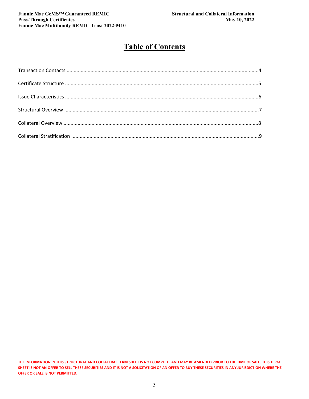#### **Table of Contents**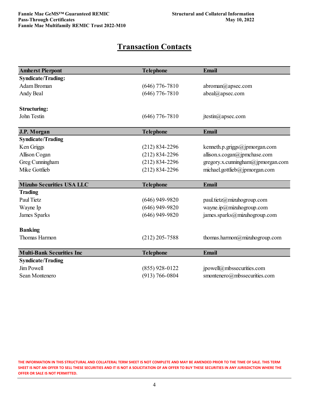#### **Transaction Contacts**

| <b>Amherst Pierpont</b>          | <b>Telephone</b>   | <b>Email</b>                      |
|----------------------------------|--------------------|-----------------------------------|
| <b>Syndicate/Trading:</b>        |                    |                                   |
| Adam Broman                      | $(646)$ 776-7810   | abroman@apsec.com                 |
| Andy Beal                        | $(646)$ 776-7810   | abeal@apsec.com                   |
| <b>Structuring:</b>              |                    |                                   |
| John Testin                      | $(646)$ 776-7810   | jtestin@apsec.com                 |
| J.P. Morgan                      | <b>Telephone</b>   | Email                             |
| <b>Syndicate/Trading</b>         |                    |                                   |
| Ken Griggs                       | $(212) 834 - 2296$ | kenneth.p.griggs@jpmorgan.com     |
| Allison Cogan                    | $(212) 834 - 2296$ | allison.s.cogan@jpmchase.com      |
| Greg Cunningham                  | $(212) 834 - 2296$ | gregory.x.cunningham@jpmorgan.com |
| Mike Gottlieb                    | $(212) 834 - 2296$ | michael.gottlieb@jpmorgan.com     |
| <b>Mizuho Securities USA LLC</b> | <b>Telephone</b>   | <b>Email</b>                      |
| <b>Trading</b>                   |                    |                                   |
| Paul Tietz                       | $(646)$ 949-9820   | paul.tietz@mizuhogroup.com        |
| Wayne Ip                         | $(646)$ 949-9820   | wayne.ip@mizuhogroup.com          |
| James Sparks                     | $(646)$ 949-9820   | james.sparks@mizuhogroup.com      |
| <b>Banking</b>                   |                    |                                   |
| Thomas Harmon                    | $(212)$ 205-7588   | thomas.harmon@mizuhogroup.com     |
| <b>Multi-Bank Securities Inc</b> | <b>Telephone</b>   | <b>Email</b>                      |
| <b>Syndicate/Trading</b>         |                    |                                   |
| Jim Powell                       | $(855)$ 928-0122   | jpowell@mbssecurities.com         |
| Sean Montenero                   | $(913) 766 - 0804$ | smontenero@mbssecurities.com      |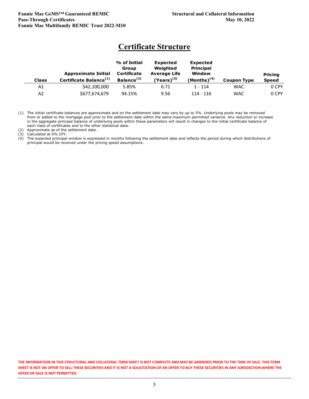#### **Certificate Structure**

| <b>Class</b> | <b>Approximate Initial</b><br>Certificate Balance <sup>(1)</sup> | % of Initial<br>Group<br>Certificate<br>Balance <sup>(2)</sup> | <b>Expected</b><br>Weighted<br><b>Average Life</b><br>$(Years)^{(3)}$ | <b>Expected</b><br><b>Principal</b><br><b>Window</b><br>(Months) $(4)$ | <b>Coupon Type</b> | <b>Pricing</b><br><b>Speed</b> |
|--------------|------------------------------------------------------------------|----------------------------------------------------------------|-----------------------------------------------------------------------|------------------------------------------------------------------------|--------------------|--------------------------------|
| A1           | \$42,100,000                                                     | 5.85%                                                          | 6.71                                                                  | $1 - 114$                                                              | <b>WAC</b>         | 0 CPY                          |
| A2           | \$677,674,679                                                    | 94.15%                                                         | 9.56                                                                  | 114 - 116                                                              | <b>WAC</b>         | 0 CPY                          |

(1) The initial certificate balances are approximate and on the settlement date may vary by up to 5%. Underlying pools may be removed from or added to the mortgage pool prior to the settlement date within the same maximum permitted variance. Any reduction or increase in the aggregate principal balance of underlying pools within these parameters will result in changes to the initial certificate balance of each class of certificates and to the other statistical data.

(2) Approximate as of the settlement date.

(3) Calculated at 0% CPY.

(4) The expected principal window is expressed in months following the settlement date and reflects the period during which distributions of principal would be received under the pricing speed assumptions.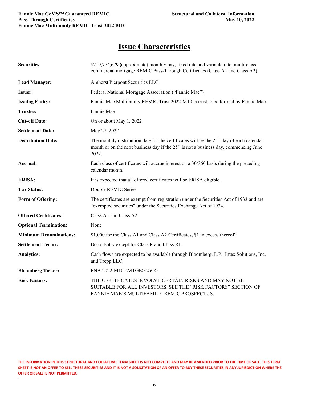#### **Issue Characteristics**

| <b>Securities:</b>            | \$719,774,679 (approximate) monthly pay, fixed rate and variable rate, multi-class<br>commercial mortgage REMIC Pass-Through Certificates (Class A1 and Class A2)                                       |
|-------------------------------|---------------------------------------------------------------------------------------------------------------------------------------------------------------------------------------------------------|
| <b>Lead Manager:</b>          | Amherst Pierpont Securities LLC                                                                                                                                                                         |
| Issuer:                       | Federal National Mortgage Association ("Fannie Mae")                                                                                                                                                    |
| <b>Issuing Entity:</b>        | Fannie Mae Multifamily REMIC Trust 2022-M10, a trust to be formed by Fannie Mae.                                                                                                                        |
| <b>Trustee:</b>               | Fannie Mae                                                                                                                                                                                              |
| <b>Cut-off Date:</b>          | On or about May 1, 2022                                                                                                                                                                                 |
| <b>Settlement Date:</b>       | May 27, 2022                                                                                                                                                                                            |
| <b>Distribution Date:</b>     | The monthly distribution date for the certificates will be the 25 <sup>th</sup> day of each calendar<br>month or on the next business day if the $25th$ is not a business day, commencing June<br>2022. |
| Accrual:                      | Each class of certificates will accrue interest on a 30/360 basis during the preceding<br>calendar month.                                                                                               |
| <b>ERISA:</b>                 | It is expected that all offered certificates will be ERISA eligible.                                                                                                                                    |
| <b>Tax Status:</b>            | Double REMIC Series                                                                                                                                                                                     |
| Form of Offering:             | The certificates are exempt from registration under the Securities Act of 1933 and are<br>"exempted securities" under the Securities Exchange Act of 1934.                                              |
| <b>Offered Certificates:</b>  | Class A1 and Class A2                                                                                                                                                                                   |
| <b>Optional Termination:</b>  | None                                                                                                                                                                                                    |
| <b>Minimum Denominations:</b> | \$1,000 for the Class A1 and Class A2 Certificates, \$1 in excess thereof.                                                                                                                              |
| <b>Settlement Terms:</b>      | Book-Entry except for Class R and Class RL                                                                                                                                                              |
| <b>Analytics:</b>             | Cash flows are expected to be available through Bloomberg, L.P., Intex Solutions, Inc.<br>and Trepp LLC.                                                                                                |
| <b>Bloomberg Ticker:</b>      | FNA 2022-M10 <mtge><go></go></mtge>                                                                                                                                                                     |
| <b>Risk Factors:</b>          | THE CERTIFICATES INVOLVE CERTAIN RISKS AND MAY NOT BE<br>SUITABLE FOR ALL INVESTORS. SEE THE "RISK FACTORS" SECTION OF<br>FANNIE MAE'S MULTIFAMILY REMIC PROSPECTUS.                                    |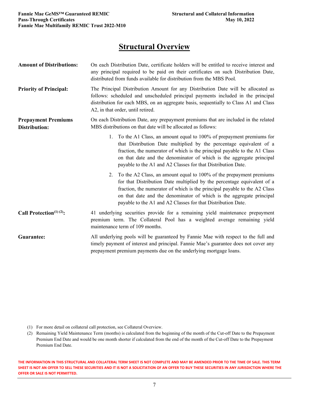#### **Structural Overview**

| <b>Amount of Distributions:</b>             | On each Distribution Date, certificate holders will be entitled to receive interest and<br>any principal required to be paid on their certificates on such Distribution Date,<br>distributed from funds available for distribution from the MBS Pool.                                                                                                                  |  |  |  |  |  |  |  |
|---------------------------------------------|------------------------------------------------------------------------------------------------------------------------------------------------------------------------------------------------------------------------------------------------------------------------------------------------------------------------------------------------------------------------|--|--|--|--|--|--|--|
| <b>Priority of Principal:</b>               | The Principal Distribution Amount for any Distribution Date will be allocated as<br>follows: scheduled and unscheduled principal payments included in the principal<br>distribution for each MBS, on an aggregate basis, sequentially to Class A1 and Class<br>A2, in that order, until retired.                                                                       |  |  |  |  |  |  |  |
| <b>Prepayment Premiums</b><br>Distribution: | On each Distribution Date, any prepayment premiums that are included in the related<br>MBS distributions on that date will be allocated as follows:                                                                                                                                                                                                                    |  |  |  |  |  |  |  |
|                                             | 1. To the A1 Class, an amount equal to 100% of prepayment premiums for<br>that Distribution Date multiplied by the percentage equivalent of a<br>fraction, the numerator of which is the principal payable to the A1 Class<br>on that date and the denominator of which is the aggregate principal<br>payable to the A1 and A2 Classes for that Distribution Date.     |  |  |  |  |  |  |  |
|                                             | 2. To the A2 Class, an amount equal to 100% of the prepayment premiums<br>for that Distribution Date multiplied by the percentage equivalent of a<br>fraction, the numerator of which is the principal payable to the A2 Class<br>on that date and the denominator of which is the aggregate principal<br>payable to the A1 and A2 Classes for that Distribution Date. |  |  |  |  |  |  |  |
| Call Protection <sup>(1)(2)</sup> :         | 41 underlying securities provide for a remaining yield maintenance prepayment<br>premium term. The Collateral Pool has a weighted average remaining yield<br>maintenance term of 109 months.                                                                                                                                                                           |  |  |  |  |  |  |  |
| Guarantee:                                  | All underlying pools will be guaranteed by Fannie Mae with respect to the full and<br>timely payment of interest and principal. Fannie Mae's guarantee does not cover any<br>prepayment premium payments due on the underlying mortgage loans.                                                                                                                         |  |  |  |  |  |  |  |

- (1) For more detail on collateral call protection, see Collateral Overview.
- (2) Remaining Yield Maintenance Term (months) is calculated from the beginning of the month of the Cut-off Date to the Prepayment Premium End Date and would be one month shorter if calculated from the end of the month of the Cut-off Date to the Prepayment Premium End Date.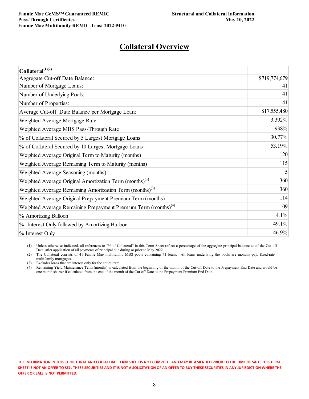#### **Collateral Overview**

| Collate ral $^{(1)(2)}$                                                    |               |
|----------------------------------------------------------------------------|---------------|
| Aggregate Cut-off Date Balance:                                            | \$719,774,679 |
| Number of Mortgage Loans:                                                  | 41            |
| Number of Underlying Pools:                                                | 41            |
| Number of Properties:                                                      | 41            |
| Average Cut-off Date Balance per Mortgage Loan:                            | \$17,555,480  |
| Weighted Average Mortgage Rate                                             | 3.392%        |
| Weighted Average MBS Pass-Through Rate                                     | 1.938%        |
| % of Collateral Secured by 5 Largest Mortgage Loans                        | 30.77%        |
| % of Collateral Secured by 10 Largest Mortgage Loans                       | 53.19%        |
| Weighted Average Original Term to Maturity (months)                        | 120           |
| Weighted Average Remaining Term to Maturity (months)                       | 115           |
| Weighted Average Seasoning (months)                                        | 5             |
| Weighted Average Original Amortization Term (months) <sup>(3)</sup>        | 360           |
| Weighted Average Remaining Amortization Term (months) <sup>(3)</sup>       | 360           |
| Weighted Average Original Prepayment Premium Term (months)                 | 114           |
| Weighted Average Remaining Prepayment Premium Term (months) <sup>(4)</sup> | 109           |
| % Amortizing Balloon                                                       | 4.1%          |
| % Interest Only followed by Amortizing Balloon                             | 49.1%         |
| % Interest Only                                                            | 46.9%         |

(1) Unless otherwise indicated, all references to "% of Collateral" in this Term Sheet reflect a percentage of the aggregate principal balance as of the Cut-off Date, after application of all payments of principal due during or prior to May 2022.

(2) The Collateral consists of 41 Fannie Mae multifamily MBS pools containing 41 loans. All loans underlying the pools are monthly-pay, fixed-rate multifamily mortgages.

(3) Excludes loans that are interest only for the entire term.

(4) Remaining Yield Maintenance Term (months) is calculated from the beginning of the month of the Cut-off Date to the Prepayment End Date and would be one month shorter if calculated from the end of the month of the Cut-off Date to the Prepayment Premium End Date.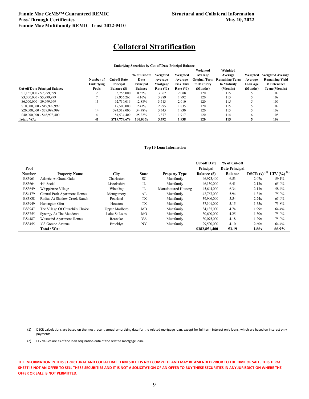#### **Collateral Stratification**

| Underlying Securities by Cut-off Date Principal Balance<br>Weighted<br>Weighted<br>Weighted<br>Weighted<br>Weighted<br><b>Weighted Average</b><br>% of Cut-off<br>Average<br>Average<br><b>Remaining Yield</b><br><b>Original Term</b><br><b>Remaining Term</b><br><b>Cut-off Date</b><br>Date<br>Number of<br>Average<br>Average<br>Average |                   |                    |           |              |              |             |             |                 |               |
|----------------------------------------------------------------------------------------------------------------------------------------------------------------------------------------------------------------------------------------------------------------------------------------------------------------------------------------------|-------------------|--------------------|-----------|--------------|--------------|-------------|-------------|-----------------|---------------|
|                                                                                                                                                                                                                                                                                                                                              |                   |                    |           |              |              |             |             |                 |               |
|                                                                                                                                                                                                                                                                                                                                              |                   |                    |           |              |              |             |             |                 |               |
|                                                                                                                                                                                                                                                                                                                                              |                   |                    |           |              |              |             |             |                 |               |
|                                                                                                                                                                                                                                                                                                                                              | <b>Underlying</b> | Principal          | Principal | Mortgage     | Pass Thru    | to Maturity | to Maturity | <b>Loan Age</b> | Maintenance   |
| <b>Cut-off Date Principal Balance</b>                                                                                                                                                                                                                                                                                                        | Pools             | <b>Balance (S)</b> | Balance   | Rate $(\% )$ | Rate $(\% )$ | (Months)    | (Months)    | (Months)        | Term (Months) |
| $$1,155,000 - $2,999,999$                                                                                                                                                                                                                                                                                                                    |                   | 3,755,000          | 0.52%     | 3.962        | 2.088        | 120         | 115         |                 | 109           |
| $$3,000,000 - $5,999,999$                                                                                                                                                                                                                                                                                                                    |                   | 29.956.263         | 4.16%     | 3.889        | 1.992        | 120         | 115         |                 | 109           |
| \$6,000,000 - \$9,999,999                                                                                                                                                                                                                                                                                                                    |                   | 92,710,016         | 12.88%    | 3.513        | 2.010        | 120         | 115         |                 | 109           |
| \$10,000,000 - \$19,999,999                                                                                                                                                                                                                                                                                                                  |                   | 17,500,000         | 2.43%     | 2.995        | 1.835        | 120         | 115         |                 | 109           |
| \$20,000,000 - \$39,999,999                                                                                                                                                                                                                                                                                                                  | 14                | 394.319.000        | 54.78%    | 3.345        | 1.930        | 120         | 115         |                 | 109           |
| \$40,000,000 - \$46,973,400                                                                                                                                                                                                                                                                                                                  |                   | 181,534,400        | 25.22%    | 3.377        | 1.917        | 120         | 114         |                 | 108           |
| Total / WA:                                                                                                                                                                                                                                                                                                                                  |                   | \$719,774,679      | 100.00%   | 3.392        | 1.938        | 120         | 115         |                 | 109           |

#### **Top 10 Loan Information**

| Pool          |                                  |                 |              |                      | <b>Cut-off Date</b><br><b>Principal</b> | % of Cut-off<br>Date Principal |                                |                  |
|---------------|----------------------------------|-----------------|--------------|----------------------|-----------------------------------------|--------------------------------|--------------------------------|------------------|
| <b>Number</b> | <b>Property Name</b>             | City            | <b>State</b> | <b>Property Type</b> | <b>Balance (\$)</b>                     | <b>Balance</b>                 | <b>DSCR</b> (x) <sup>(1)</sup> | LTV $(\%)^{(2)}$ |
| <b>BS3961</b> | Atlantic At Grand Oaks           | Charleston      | <b>SC</b>    | Multifamily          | 46,973,400                              | 6.53                           | 2.07x                          | 59.1%            |
| <b>BS3664</b> | 444 Social                       | Lincolnshire    | IL           | Multifamily          | 46,150,000                              | 6.41                           | 2.13x                          | 65.0%            |
| <b>BS3649</b> | Whippletree Village              | Wheeling        | IL           | Manufactured Housing | 45,644,000                              | 6.34                           | 2.13x                          | 58.4%            |
| <b>BS4179</b> | Central Park Apartment Homes     | Montgomery      | AL           | Multifamily          | 42,767,000                              | 5.94                           | 1.31x                          | 75.0%            |
| <b>BS3838</b> | Radius At Shadow Creek Ranch     | Pearland        | <b>TX</b>    | Multifamily          | 39,906,000                              | 5.54                           | 2.24x                          | 65.0%            |
| <b>BS3949</b> | Huntington Glen                  | Houston         | <b>TX</b>    | Multifamily          | 37,101,000                              | 5.15                           | 1.35x                          | 73.8%            |
| <b>BS3947</b> | The Village Of Churchills Choice | Upper Marlboro  | MD           | Multifamily          | 34,135,000                              | 4.74                           | 1.99x                          | 64.4%            |
| <b>BS3755</b> | Synergy At The Meadows           | Lake St Louis   | MO           | Multifamily          | 30,600,000                              | 4.25                           | 1.30x                          | 75.0%            |
| <b>BS4487</b> | Westwind Apartment Homes         | Roanoke         | VA           | Multifamily          | 30,075,000                              | 4.18                           | 1.29x                          | 75.0%            |
| <b>BS3455</b> | 333 Greene Avenue                | <b>Brooklyn</b> | NY           | Multifamily          | 29,500,000                              | 4.10                           | 2.60x                          | 64.4%            |
|               | Total / WA:                      |                 |              |                      | \$382,851,400                           | 53.19                          | 1.86x                          | 66.9%            |

(1) DSCR calculations are based on the most recent annual amortizing data for the related mortgage loan, except for full term interest only loans, which are based on interest only payments.

(2) LTV values are as of the loan origination data of the related mortgage loan.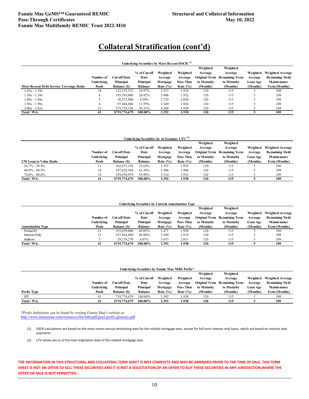| Underlying Securities by Most Recent DSCR <sup>(1)</sup> |            |                     |                |              |             |                      |                       |          |                         |  |
|----------------------------------------------------------|------------|---------------------|----------------|--------------|-------------|----------------------|-----------------------|----------|-------------------------|--|
|                                                          |            |                     |                |              |             | Weighted             | Weighted              |          |                         |  |
|                                                          |            |                     | % of Cut-off   | Weighted     | Weighted    | Average              | Average               | Weighted | <b>Weighted Average</b> |  |
|                                                          | Number of  | <b>Cut-off Date</b> | Date           | Average      | Average     | <b>Original Term</b> | <b>Remaining Term</b> | Average  | <b>Remaining Yield</b>  |  |
|                                                          | Underlying | Principal           | Principal      | Mortgage     | Pass Thru   | to Maturity          | to Maturity           | Loan Age | Maintenance             |  |
| <b>Most Recent Debt Service Coverage Ratio</b>           | Pools      | <b>Balance (S)</b>  | <b>Balance</b> | Rate $(\% )$ | Rate $(\%)$ | (Months)             | (Months)              | (Months) | Term (Months)           |  |
| $1.25x - 1.29x$                                          | 10         | 122, 155, 523       | 16.97%         | 3.537        | 1.954       | 120                  | 115                   |          | 109                     |  |
| $1.30x - 1.39x$                                          |            | 193,763,000         | 26.92%         | 3.448        | 1.932       | 120                  | 115                   |          | 109                     |  |
| $1.40x - 1.49x$                                          |            | 30,257,000          | 4.20%          | 3.724        | 2.028       | 120                  | 115                   |          | 109                     |  |
| $1.50x - 1.99x$                                          |            | 97,846,000          | 13.59%         | 3.349        | 1.926       | 120                  | 115                   |          | 109                     |  |
| $2.00x - 2.82x$                                          |            | 275, 753, 156       | 38.31%         | 3.268        | 1.930       | 120                  | 115                   |          | 109                     |  |
| Total / WA:                                              | 41         | \$719,774,679       | 100.00%        | 3.392        | 1.938       | 120                  | 115                   |          | 109                     |  |

| Underlying Securities by At Issuance LTV <sup>(2)</sup> |            |                    |                |              |             |             |                                     |          |                         |
|---------------------------------------------------------|------------|--------------------|----------------|--------------|-------------|-------------|-------------------------------------|----------|-------------------------|
|                                                         |            |                    |                |              |             | Weighted    | Weighted                            |          |                         |
|                                                         |            |                    | % of Cut-off   | Weighted     | Weighted    | Average     | Average                             | Weighted | <b>Weighted Average</b> |
|                                                         | Number of  | Cut-off Date       | Date           | Average      | Average     |             | <b>Original Term Remaining Term</b> | Average  | <b>Remaining Yield</b>  |
|                                                         | Underlying | Principal          | Principal      | Mortgage     | Pass Thru   | to Maturity | to Maturity                         | Loan Age | Maintenance             |
| <b>UW Loan to Value Ratio</b>                           | Pools      | <b>Balance (S)</b> | <b>Balance</b> | Rate $(\% )$ | Rate $(\%)$ | (Months)    | (Months)                            | (Months) | Term (Months)           |
| $26.7\% - 59.9\%$                                       |            | 162,875,156        | 22.63%         | 3.355        | 1.933       | 120         | 115                                 |          | 109                     |
| $60.0\% - 69.9\%$                                       | 16         | 297,828,544        | 41.38%         | 3.306        | 1.946       | 120         | 115                                 |          | 109                     |
| $70.0\% - 80.0\%$                                       | 14         | 259,070,979        | 35.99%         | 3.514        | 1.932       | 120         | 115                                 |          | 109                     |
| Total / WA:                                             | 41         | \$719,774,679      | 100.00%        | 3.392        | 1.938       | 120         | 115                                 |          | 109                     |

| <b>Underlying Securities by Current Amortization Type</b> |  |
|-----------------------------------------------------------|--|
|-----------------------------------------------------------|--|

|                          |            |                     |                |              |             | Weighted    | Weighted                     |          |                         |
|--------------------------|------------|---------------------|----------------|--------------|-------------|-------------|------------------------------|----------|-------------------------|
|                          |            |                     | % of Cut-off   | Weighted     | Weighted    | Average     | Average                      | Weighted | <b>Weighted Average</b> |
|                          | Number of  | <b>Cut-off Date</b> | Date           | Average      | Average     |             | Original Term Remaining Term | Average  | <b>Remaining Yield</b>  |
|                          | Underlying | Principal           | Principal      | Mortgage     | Pass Thru   | to Maturity | to Maturity                  | Loan Age | Maintenance             |
| <b>Amortization Type</b> | Pools      | <b>Balance (S)</b>  | <b>Balance</b> | Rate $(\% )$ | Rate $(\%)$ | (Months)    | (Months)                     | (Months) | <b>Term (Months)</b>    |
| Partial IO               | 21         | 353,059,000         | 49.05%         | 3.471        | 1.950       | 120         | 115                          |          | 109                     |
| Interest Only            |            | 337,436,400         | 46.88%         | 3.289        | 1.919       | 120         | 115                          |          | 109                     |
| Balloon                  |            | 29,279,279          | 4.07%          | 3.637        | 2.011       | 120         | 115                          |          | 109                     |
| Total / WA:              | 41         | \$719,774,679       | 100.00%        | 3.392        | 1.938       | 120         | 115                          |          | 109                     |

| Underlving Securities by Fannie Mae MBS Prefix* |            |               |                |              |              |             |                                     |          |                         |  |
|-------------------------------------------------|------------|---------------|----------------|--------------|--------------|-------------|-------------------------------------|----------|-------------------------|--|
|                                                 |            |               |                |              |              | Weighted    | Weighted                            |          |                         |  |
|                                                 |            |               | % of Cut-off   | Weighted     | Weighted     | Average     | Average                             | Weighted | <b>Weighted Average</b> |  |
|                                                 | Number of  | Cut-off Date  | Date           | Average      | Average      |             | <b>Original Term</b> Remaining Term | Average  | <b>Remaining Yield</b>  |  |
|                                                 | Underlying | Principal     | Principal      | Mortgage     | Pass Thru    | to Maturity | to Maturity                         | Loan Age | Maintenance             |  |
| Prefix Type                                     | Pools      | Balance (\$)  | <b>Balance</b> | Rate $(\% )$ | Rate $(\% )$ | (Months)    | (Months)                            | (Months) | Term (Months)           |  |
| HY                                              | 41         | 719,774,679   | 100.00%        | 3.392        | 1.938        | 120         | 115                                 |          | 109                     |  |
| Total / WA:                                     | 41         | \$719,774,679 | 100.00%        | 3.392        | 1.938        | 120         | 115                                 |          | 109                     |  |

*\*Prefix definitions can be found by visiting Fannie Mae's website at:* <http://www.fanniemae.com/resources/file/mbs/pdf/pool-prefix-glossary.pdf>

- (1) DSCR calculations are based on the most recent annual amortizing data for the related mortgage loan, except for full term interest only loans, which are based on interest only payments.
- (2) LTV values are as of the loan origination date of the related mortgage loan.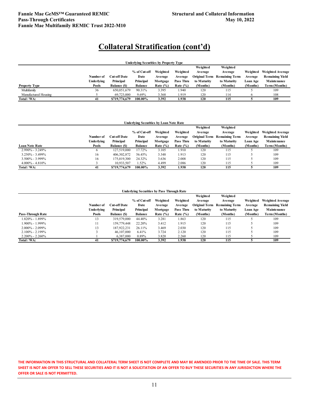| <b>Underlying Securities by Property Type</b> |            |                     |                |              |              |                      |                       |          |                         |  |  |
|-----------------------------------------------|------------|---------------------|----------------|--------------|--------------|----------------------|-----------------------|----------|-------------------------|--|--|
|                                               |            |                     |                |              |              | Weighted             | Weighted              |          |                         |  |  |
|                                               |            |                     | % of Cut-off   | Weighted     | Weighted     | Average              | Average               | Weighted | <b>Weighted Average</b> |  |  |
|                                               | Number of  | Cut-off Date        | Date           | Average      | Average      | <b>Original Term</b> | <b>Remaining Term</b> | Average  | <b>Remaining Yield</b>  |  |  |
|                                               | Underlying | Principal           | Principal      | Mortgage     | Pass Thru    | to Maturity          | to Maturity           | Loan Age | Maintenance             |  |  |
| <b>Property Type</b>                          | Pools      | <b>Balance (\$)</b> | <b>Balance</b> | Rate $(\% )$ | Rate $(\% )$ | (Months)             | (Months)              | (Months) | Term (Months)           |  |  |
| Multifamily                                   | 36         | 650,051,679         | 90.31%         | 3.395        | 1.940        | 120                  | 115                   |          | 109                     |  |  |
| Manufactured Housing                          |            | 69,723,000          | 9.69%          | 3.368        | 1.919        | 120                  | 114                   |          | 108                     |  |  |
| Total / WA:                                   | 41         | \$719,774,679       | 100.00%        | 3.392        | 1.938        | 120                  | 115                   |          | 109                     |  |  |

| <b>Underlying Securities by Loan Note Rate</b> |                   |                    |                |              |              |             |                                     |          |                         |  |
|------------------------------------------------|-------------------|--------------------|----------------|--------------|--------------|-------------|-------------------------------------|----------|-------------------------|--|
|                                                |                   |                    |                |              |              | Weighted    | Weighted                            |          |                         |  |
|                                                |                   |                    | % of Cut-off   | Weighted     | Weighted     | Average     | Average                             | Weighted | <b>Weighted Average</b> |  |
|                                                | Number of         | Cut-off Date       | Date           | Average      | Average      |             | <b>Original Term Remaining Term</b> | Average  | <b>Remaining Yield</b>  |  |
|                                                | <b>Underlying</b> | Principal          | Principal      | Mortgage     | Pass Thru    | to Maturity | to Maturity                         | Loan Age | Maintenance             |  |
| <b>Loan Note Rate</b>                          | Pools             | <b>Balance (S)</b> | <b>Balance</b> | Rate $(\% )$ | Rate $(\% )$ | (Months)    | (Months)                            | (Months) | Term (Months)           |  |
| 2.990% - 3.249%                                |                   | 127.519.000        | 17.72%         | 3.105        | 1.910        | 120         | 115                                 |          | 109                     |  |
| $3.250\% - 3.499\%$                            | 16                | 406, 302, 872      | 56.45%         | 3.348        | 1.913        | 120         | 115                                 |          | 109                     |  |
| $3.500\% - 3.999\%$                            | 16                | 175,019,300        | 24.32%         | 3.636        | 2.008        | 120         | 115                                 |          | 109                     |  |
| $4.000\% - 4.810\%$                            |                   | 10.933.507         | 1.52%          | 4.499        | 2.086        | 120         | 115                                 |          | 109                     |  |
| Total / WA:                                    | 41                | \$719,774,679      | 100.00%        | 3.392        | 1.938        | 120         | 115                                 |          | 109                     |  |

| <b>Underlying Securities by Pass Through Rate</b> |            |                    |                |              |              |                      |                       |          |                         |  |
|---------------------------------------------------|------------|--------------------|----------------|--------------|--------------|----------------------|-----------------------|----------|-------------------------|--|
|                                                   |            |                    |                |              |              | Weighted             | Weighted              |          |                         |  |
|                                                   |            |                    | % of Cut-off   | Weighted     | Weighted     | Average              | Average               | Weighted | <b>Weighted Average</b> |  |
|                                                   | Number of  | Cut-off Date       | Date           | Average      | Average      | <b>Original Term</b> | <b>Remaining Term</b> | Average  | <b>Remaining Yield</b>  |  |
|                                                   | Underlying | Principal          | Principal      | Mortgage     | Pass Thru    | to Maturity          | to Maturity           | Loan Age | Maintenance             |  |
| Pass-Through Rate                                 | Pools      | <b>Balance (S)</b> | <b>Balance</b> | Rate $(\% )$ | Rate $(\% )$ | (Months)             | (Months)              | (Months) | Term (Months)           |  |
| 1.820% - 1.899%                                   | 13         | 319,579,000        | 44.40%         | 3.281        | 1.863        | 120                  | 115                   |          | 109                     |  |
| 1.900% - 1.999%                                   | 11         | 159,779,448        | 22.20%         | 3.412        | 1.915        | 120                  | 115                   |          | 109                     |  |
| $2.000\% - 2.099\%$                               | 13         | 187.922.231        | 26.11%         | 3.469        | 2.030        | 120                  | 115                   |          | 109                     |  |
| $2.100\% - 2.199\%$                               |            | 46,107,000         | 6.41%          | 3.724        | 2.120        | 120                  | 115                   |          | 109                     |  |
| $2.200\% - 2.260\%$                               |            | 6,387,000          | 0.89%          | 3.820        | 2.260        | 120                  | 115                   |          | 109                     |  |
| Total / WA:                                       | -41        | \$719,774,679      | 100.00%        | 3.392        | 1.938        | 120                  | 115                   |          | 109                     |  |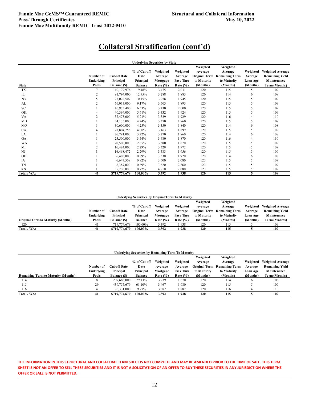|              |                                  |                                                         | <b>Underlying Securities by State</b>               |                                                 |                                                  |                                                                        |                                                                         |                                                    |                                                                                   |
|--------------|----------------------------------|---------------------------------------------------------|-----------------------------------------------------|-------------------------------------------------|--------------------------------------------------|------------------------------------------------------------------------|-------------------------------------------------------------------------|----------------------------------------------------|-----------------------------------------------------------------------------------|
| <b>State</b> | Number of<br>Underlying<br>Pools | <b>Cut-off Date</b><br>Principal<br><b>Balance (\$)</b> | % of Cut-off<br>Date<br>Principal<br><b>Balance</b> | Weighted<br>Average<br>Mortgage<br>Rate $(\% )$ | Weighted<br>Average<br>Pass Thru<br>Rate $(\% )$ | Weighted<br>Average<br><b>Original Term</b><br>to Maturity<br>(Months) | Weighted<br>Average<br><b>Remaining Term</b><br>to Maturity<br>(Months) | Weighted<br>Average<br><b>Loan Age</b><br>(Months) | <b>Weighted Average</b><br><b>Remaining Yield</b><br>Maintenance<br>Term (Months) |
| TX           |                                  | 140,179,976                                             | 19.48%                                              | 3.475                                           | 2.031                                            | 120                                                                    | 115                                                                     | 5                                                  | 109                                                                               |
| IL           |                                  | 91,794,000                                              | 12.75%                                              | 3.288                                           | 1.883                                            | 120                                                                    | 114                                                                     | 6                                                  | 108                                                                               |
| NY           | $\overline{\phantom{0}}$         | 73,022,507                                              | 10.15%                                              | 3.258                                           | 1.945                                            | 120                                                                    | 115                                                                     | 5                                                  | 109                                                                               |
| AL           |                                  | 66,013,000                                              | 9.17%                                               | 3.503                                           | 1.893                                            | 120                                                                    | 115                                                                     | 5                                                  | 109                                                                               |
| SC.          |                                  | 46,973,400                                              | 6.53%                                               | 3.430                                           | 2.000                                            | 120                                                                    | 115                                                                     | $\overline{\phantom{0}}$                           | 109                                                                               |
| OK           |                                  | 40,394,000                                              | 5.61%                                               | 3.332                                           | 1.924                                            | 120                                                                    | 115                                                                     | 5                                                  | 109                                                                               |
| VA           |                                  | 37,475,000                                              | 5.21%                                               | 3.339                                           | 1.929                                            | 120                                                                    | 116                                                                     | 4                                                  | 110                                                                               |
| MD           |                                  | 34,135,000                                              | 4.74%                                               | 3.370                                           | 1.860                                            | 120                                                                    | 115                                                                     | 5                                                  | 109                                                                               |
| MO           |                                  | 30,600,000                                              | 4.25%                                               | 3.350                                           | 1.840                                            | 120                                                                    | 114                                                                     | 6                                                  | 108                                                                               |
| CA           |                                  | 28,804,756                                              | 4.00%                                               | 3.163                                           | 1.899                                            | 120                                                                    | 115                                                                     | 5                                                  | 109                                                                               |
| LA           |                                  | 26,791,000                                              | 3.72%                                               | 3.270                                           | 1.860                                            | 120                                                                    | 114                                                                     | 6                                                  | 108                                                                               |
| <b>GA</b>    |                                  | 25,500,000                                              | 3.54%                                               | 3.480                                           | 1.870                                            | 120                                                                    | 116                                                                     | 4                                                  | 110                                                                               |
| <b>WA</b>    |                                  | 20,500,000                                              | 2.85%                                               | 3.380                                           | 1.870                                            | 120                                                                    | 115                                                                     | 5                                                  | 109                                                                               |
| MI           |                                  | 16,484,000                                              | 2.29%                                               | 3.329                                           | 1.972                                            | 120                                                                    | 115                                                                     | $\overline{\phantom{0}}$                           | 109                                                                               |
| NJ           | 3                                | 16,468,472                                              | 2.29%                                               | 3.583                                           | 1.956                                            | 120                                                                    | 115                                                                     | 5                                                  | 109                                                                               |
| OH           |                                  | 6,405,000                                               | 0.89%                                               | 3.330                                           | 1.920                                            | 120                                                                    | 114                                                                     | 6                                                  | 108                                                                               |
| IA           |                                  | 6,647,568                                               | 0.92%                                               | 3.600                                           | 2.080                                            | 120                                                                    | 115                                                                     | 5                                                  | 109                                                                               |
| <b>TN</b>    |                                  | 6,387,000                                               | 0.89%                                               | 3.820                                           | 2.260                                            | 120                                                                    | 115                                                                     |                                                    | 109                                                                               |
| <b>KS</b>    |                                  | 5.200.000                                               | 0.72%                                               | 4.810                                           | 2.080                                            | 120                                                                    | 115                                                                     | $\overline{\phantom{0}}$                           | 109                                                                               |
| Total / WA:  | 41                               | \$719,774,679                                           | 100.00%                                             | 3.392                                           | 1.938                                            | 120                                                                    | 115                                                                     | 5                                                  | 109                                                                               |

**Underlying Securities by Original Term To Maturity**

|                                           |            |                    |                |              |              | Weighted    | Weighted                            |          |                         |
|-------------------------------------------|------------|--------------------|----------------|--------------|--------------|-------------|-------------------------------------|----------|-------------------------|
|                                           |            |                    | % of Cut-off   | Weighted     | Weighted     | Average     | Average                             | Weighted | <b>Weighted Average</b> |
|                                           | Number of  | Cut-off Date       | Date           | Average      | Average      |             | <b>Original Term</b> Remaining Term | Average  | <b>Remaining Yield</b>  |
|                                           | Underlying | Principal          | Principal      | Mortgage     | Pass Thru    | to Maturity | to Maturity                         | Loan Age | Maintenance             |
| <b>Original Term to Maturity (Months)</b> | Pools      | <b>Balance (S)</b> | <b>Balance</b> | Rate $(\% )$ | Rate $(\% )$ | (Months)    | (Months)                            | (Months) | Term (Months)           |
| 120                                       | 41         | 719,774,679        | 100.00%        | 3.392        | 1.938        | 120         | 115                                 |          | 109                     |
| Total / WA:                               |            | \$719,774,679      | 100.00%        | 3.392        | 1.938        | 120         | 115                                 |          | 109                     |

| Underlying Securities by Remaining Term To Maturity |            |                     |                |              |              |                      |                       |                 |                         |  |
|-----------------------------------------------------|------------|---------------------|----------------|--------------|--------------|----------------------|-----------------------|-----------------|-------------------------|--|
|                                                     |            |                     |                |              |              | Weighted             | Weighted              |                 |                         |  |
|                                                     |            |                     | % of Cut-off   | Weighted     | Weighted     | Average              | Average               | Weighted        | <b>Weighted Average</b> |  |
|                                                     | Number of  | <b>Cut-off Date</b> | Date           | Average      | Average      | <b>Original Term</b> | <b>Remaining Term</b> | Average         | <b>Remaining Yield</b>  |  |
|                                                     | Underlying | Principal           | Principal      | Mortgage     | Pass Thru    | to Maturity          | to Maturity           | <b>Loan Age</b> | Maintenance             |  |
| <b>Remaining Term to Maturity (Months)</b>          | Pools      | <b>Balance (S)</b>  | <b>Balance</b> | Rate $(\% )$ | Rate $(\% )$ | (Months)             | (Months)              | (Months)        | Term (Months)           |  |
| 114                                                 | Ö          | 209,688,000         | 29.13%         | 3.239        | 1.870        | 120                  | 114                   | 6               | 108                     |  |
| 115                                                 | 29         | 439,755,679         | 61.10%         | 3.467        | 1.980        | 120                  | 115                   |                 | 109                     |  |
| 116                                                 |            | 70.331,000          | 9.77%          | 3.382        | 1.882        | 120                  | 116                   |                 | 110                     |  |
| Total / WA:                                         | 41         | \$719,774,679       | 100.00%        | 3.392        | 1.938        | 120                  | 115                   |                 | 109                     |  |